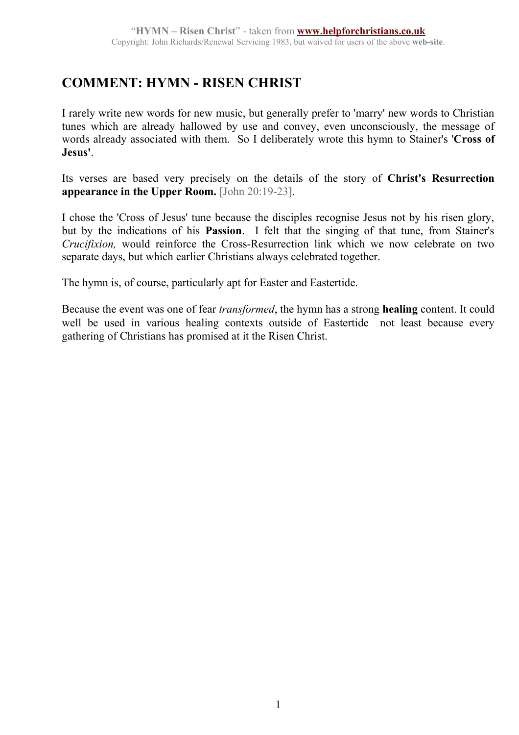## **COMMENT: HYMN - RISEN CHRIST**

I rarely write new words for new music, but generally prefer to 'marry' new words to Christian tunes which are already hallowed by use and convey, even unconsciously, the message of words already associated with them. So I deliberately wrote this hymn to Stainer's '**Cross of Jesus'**.

Its verses are based very precisely on the details of the story of **Christ's Resurrection appearance in the Upper Room.** [John 20:19-23].

I chose the 'Cross of Jesus' tune because the disciples recognise Jesus not by his risen glory, but by the indications of his **Passion**. I felt that the singing of that tune, from Stainer's *Crucifixion,* would reinforce the Cross-Resurrection link which we now celebrate on two separate days, but which earlier Christians always celebrated together.

The hymn is, of course, particularly apt for Easter and Eastertide.

Because the event was one of fear *transformed*, the hymn has a strong **healing** content. It could well be used in various healing contexts outside of Eastertide—not least because every gathering of Christians has promised at it the Risen Christ.